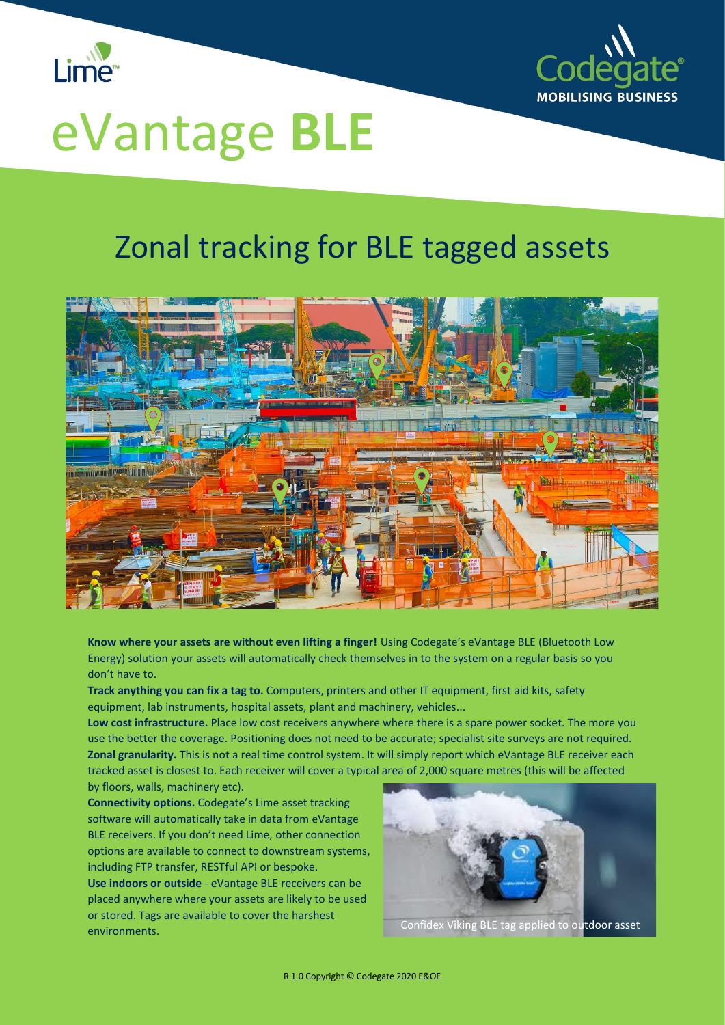



## eVantage **BLE**

## Zonal tracking for BLE tagged assets



**Know where your assets are without even lifting a finger!** Using Codegate's eVantage BLE (Bluetooth Low Energy) solution your assets will automatically check themselves in to the system on a regular basis so you don't have to.

**Track anything you can fix a tag to.** Computers, printers and other IT equipment, first aid kits, safety equipment, lab instruments, hospital assets, plant and machinery, vehicles...

**Low cost infrastructure.** Place low cost receivers anywhere where there is a spare power socket. The more you use the better the coverage. Positioning does not need to be accurate; specialist site surveys are not required. **Zonal granularity.** This is not a real time control system. It will simply report which eVantage BLE receiver each tracked asset is closest to. Each receiver will cover a typical area of 2,000 square metres (this will be affected by floors, walls, machinery etc).

**Connectivity options.** Codegate's Lime asset tracking software will automatically take in data from eVantage BLE receivers. If you don't need Lime, other connection options are available to connect to downstream systems, including FTP transfer, RESTful API or bespoke.

**Use indoors or outside** - eVantage BLE receivers can be placed anywhere where your assets are likely to be used or stored. Tags are available to cover the harshest environments.